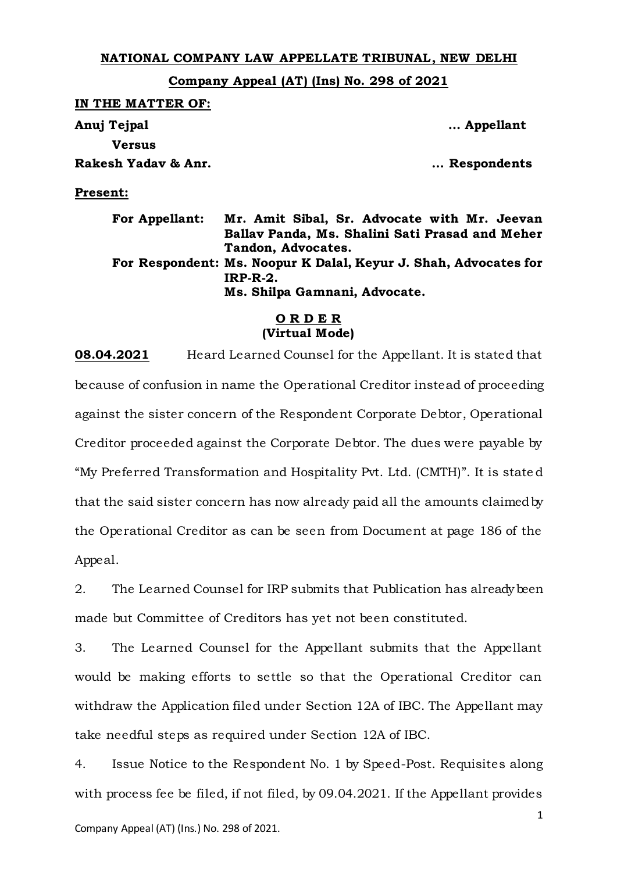## **NATIONAL COMPANY LAW APPELLATE TRIBUNAL, NEW DELHI**

**Company Appeal (AT) (Ins) No. 298 of 2021**

| IN THE MATTER OF:     |                                                                                                                       |
|-----------------------|-----------------------------------------------------------------------------------------------------------------------|
| Anuj Tejpal           | Appellant                                                                                                             |
| <b>Versus</b>         |                                                                                                                       |
| Rakesh Yadav & Anr.   | Respondents                                                                                                           |
| <b>Present:</b>       |                                                                                                                       |
| <b>For Appellant:</b> | Mr. Amit Sibal, Sr. Advocate with Mr. Jeevan<br>Ballav Panda, Ms. Shalini Sati Prasad and Meher<br>Tandon, Advocates. |
|                       | For Respondent: Ms. Noopur K Dalal, Keyur J. Shah, Advocates for                                                      |

**IRP-R-2.**

**Ms. Shilpa Gamnani, Advocate.**

## **O R D E R (Virtual Mode)**

**08.04.2021** Heard Learned Counsel for the Appellant. It is stated that because of confusion in name the Operational Creditor instead of proceeding against the sister concern of the Respondent Corporate Debtor, Operational Creditor proceeded against the Corporate Debtor. The dues were payable by "My Preferred Transformation and Hospitality Pvt. Ltd. (CMTH)". It is state d that the said sister concern has now already paid all the amounts claimed by the Operational Creditor as can be seen from Document at page 186 of the Appeal.

2. The Learned Counsel for IRP submits that Publication has already been made but Committee of Creditors has yet not been constituted.

3. The Learned Counsel for the Appellant submits that the Appellant would be making efforts to settle so that the Operational Creditor can withdraw the Application filed under Section 12A of IBC. The Appellant may take needful steps as required under Section 12A of IBC.

1 4. Issue Notice to the Respondent No. 1 by Speed-Post. Requisites along with process fee be filed, if not filed, by 09.04.2021. If the Appellant provides